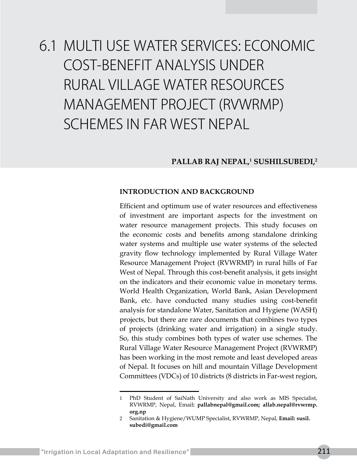# 6.1 MULTI USE WATER SERVICES: ECONOMIC COST-BENEFIT ANALYSIS UNDER RURAL VILLAGE WATER RESOURCES MANAGEMENT PROJECT (RVWRMP) SCHEMES IN FAR WEST NEPAL

# **PALLAB RAJ NEPAL,1 SUSHILSUBEDI,2**

#### **INTRODUCTION AND BACKGROUND**

Efficient and optimum use of water resources and effectiveness of investment are important aspects for the investment on water resource management projects. This study focuses on the economic costs and benefits among standalone drinking water systems and multiple use water systems of the selected gravity flow technology implemented by Rural Village Water Resource Management Project (RVWRMP) in rural hills of Far West of Nepal. Through this cost-benefit analysis, it gets insight on the indicators and their economic value in monetary terms. World Health Organization, World Bank, Asian Development Bank, etc. have conducted many studies using cost-benefit analysis for standalone Water, Sanitation and Hygiene (WASH) projects, but there are rare documents that combines two types of projects (drinking water and irrigation) in a single study. So, this study combines both types of water use schemes. The Rural Village Water Resource Management Project (RVWRMP) has been working in the most remote and least developed areas of Nepal. It focuses on hill and mountain Village Development Committees (VDCs) of 10 districts (8 districts in Far-west region,

<sup>1</sup> PhD Student of SaiNath University and also work as MIS Specialist, RVWRMP, Nepal, Email**: pallabnepal@gmail.com; allab.nepal@rvwrmp. org.np**

<sup>2</sup> Sanitation & Hygiene/WUMP Specialist, RVWRMP, Nepal, **Email: susil. subedi@gmail.com**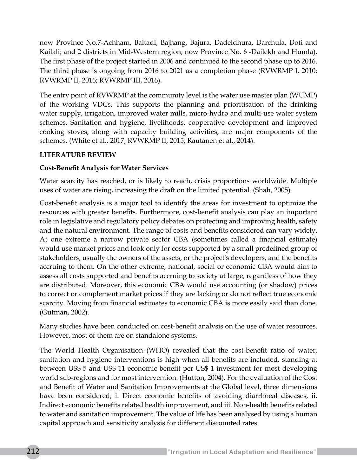now Province No.7-Achham, Baitadi, Bajhang, Bajura, Dadeldhura, Darchula, Doti and Kailali; and 2 districts in Mid-Western region, now Province No. 6 -Dailekh and Humla). The first phase of the project started in 2006 and continued to the second phase up to 2016. The third phase is ongoing from 2016 to 2021 as a completion phase (RVWRMP I, 2010; RVWRMP II, 2016; RVWRMP III, 2016).

The entry point of RVWRMP at the community level is the water use master plan (WUMP) of the working VDCs. This supports the planning and prioritisation of the drinking water supply, irrigation, improved water mills, micro-hydro and multi-use water system schemes. Sanitation and hygiene, livelihoods, cooperative development and improved cooking stoves, along with capacity building activities, are major components of the schemes. (White et al., 2017; RVWRMP II, 2015; Rautanen et al., 2014).

# **LITERATURE REVIEW**

# **Cost-Benefit Analysis for Water Services**

Water scarcity has reached, or is likely to reach, crisis proportions worldwide. Multiple uses of water are rising, increasing the draft on the limited potential. (Shah, 2005).

Cost-benefit analysis is a major tool to identify the areas for investment to optimize the resources with greater benefits. Furthermore, cost-benefit analysis can play an important role in legislative and regulatory policy debates on protecting and improving health, safety and the natural environment. The range of costs and benefits considered can vary widely. At one extreme a narrow private sector CBA (sometimes called a financial estimate) would use market prices and look only for costs supported by a small predefined group of stakeholders, usually the owners of the assets, or the project's developers, and the benefits accruing to them. On the other extreme, national, social or economic CBA would aim to assess all costs supported and benefits accruing to society at large, regardless of how they are distributed. Moreover, this economic CBA would use accounting (or shadow) prices to correct or complement market prices if they are lacking or do not reflect true economic scarcity. Moving from financial estimates to economic CBA is more easily said than done. (Gutman, 2002).

Many studies have been conducted on cost-benefit analysis on the use of water resources. However, most of them are on standalone systems.

The World Health Organisation (WHO) revealed that the cost-benefit ratio of water, sanitation and hygiene interventions is high when all benefits are included, standing at between US\$ 5 and US\$ 11 economic benefit per US\$ 1 investment for most developing world sub-regions and for most intervention. (Hutton, 2004). For the evaluation of the Cost and Benefit of Water and Sanitation Improvements at the Global level, three dimensions have been considered; i. Direct economic benefits of avoiding diarrhoeal diseases, ii. Indirect economic benefits related health improvement, and iii. Non-health benefits related to water and sanitation improvement. The value of life has been analysed by using a human capital approach and sensitivity analysis for different discounted rates.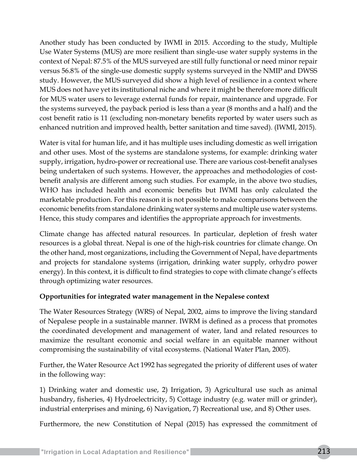Another study has been conducted by IWMI in 2015. According to the study, Multiple Use Water Systems (MUS) are more resilient than single-use water supply systems in the context of Nepal: 87.5% of the MUS surveyed are still fully functional or need minor repair versus 56.8% of the single-use domestic supply systems surveyed in the NMIP and DWSS study. However, the MUS surveyed did show a high level of resilience in a context where MUS does not have yet its institutional niche and where it might be therefore more difficult for MUS water users to leverage external funds for repair, maintenance and upgrade. For the systems surveyed, the payback period is less than a year (8 months and a half) and the cost benefit ratio is 11 (excluding non-monetary benefits reported by water users such as enhanced nutrition and improved health, better sanitation and time saved). (IWMI, 2015).

Water is vital for human life, and it has multiple uses including domestic as well irrigation and other uses. Most of the systems are standalone systems, for example: drinking water supply, irrigation, hydro-power or recreational use. There are various cost-benefit analyses being undertaken of such systems. However, the approaches and methodologies of costbenefit analysis are different among such studies. For example, in the above two studies, WHO has included health and economic benefits but IWMI has only calculated the marketable production. For this reason it is not possible to make comparisons between the economic benefits from standalone drinking water systems and multiple use water systems. Hence, this study compares and identifies the appropriate approach for investments.

Climate change has affected natural resources. In particular, depletion of fresh water resources is a global threat. Nepal is one of the high-risk countries for climate change. On the other hand, most organizations, including the Government of Nepal, have departments and projects for standalone systems (irrigation, drinking water supply, orhydro power energy). In this context, it is difficult to find strategies to cope with climate change's effects through optimizing water resources.

# **Opportunities for integrated water management in the Nepalese context**

The Water Resources Strategy (WRS) of Nepal, 2002, aims to improve the living standard of Nepalese people in a sustainable manner. IWRM is defined as a process that promotes the coordinated development and management of water, land and related resources to maximize the resultant economic and social welfare in an equitable manner without compromising the sustainability of vital ecosystems. (National Water Plan, 2005).

Further, the Water Resource Act 1992 has segregated the priority of different uses of water in the following way:

1) Drinking water and domestic use, 2) Irrigation, 3) Agricultural use such as animal husbandry, fisheries, 4) Hydroelectricity, 5) Cottage industry (e.g. water mill or grinder), industrial enterprises and mining, 6) Navigation, 7) Recreational use, and 8) Other uses.

Furthermore, the new Constitution of Nepal (2015) has expressed the commitment of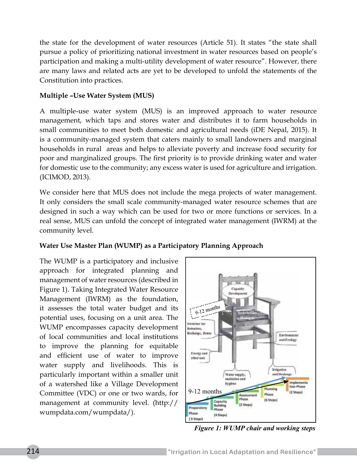the state for the development of water resources (Article 51). It states "the state shall pursue a policy of prioritizing national investment in water resources based on people's participation and making a multi-utility development of water resource". However, there are many laws and related acts are yet to be developed to unfold the statements of the Constitution into practices.

## **Multiple –Use Water System (MUS)**

A multiple-use water system (MUS) is an improved approach to water resource management, which taps and stores water and distributes it to farm households in small communities to meet both domestic and agricultural needs (iDE Nepal, 2015). It is a community-managed system that caters mainly to small landowners and marginal households in rural areas and helps to alleviate poverty and increase food security for poor and marginalized groups. The first priority is to provide drinking water and water for domestic use to the community; any excess water is used for agriculture and irrigation. (ICIMOD, 2013).

We consider here that MUS does not include the mega projects of water management. It only considers the small scale community-managed water resource schemes that are designed in such a way which can be used for two or more functions or services. In a real sense, MUS can unfold the concept of integrated water management (IWRM) at the community level.

# **Water Use Master Plan (WUMP) as a Participatory Planning Approach**

The WUMP is a participatory and inclusive approach for integrated planning and management of water resources (described in Figure 1). Taking Integrated Water Resource Management (IWRM) as the foundation, it assesses the total water budget and its potential uses, focusing on a unit area. The WUMP encompasses capacity development of local communities and local institutions to improve the planning for equitable and efficient use of water to improve water supply and livelihoods. This is particularly important within a smaller unit of a watershed like a Village Development Committee (VDC) or one or two wards, for management at community level. (http:// wumpdata.com/wumpdata/).



*Figure 1: WUMP chair and working steps*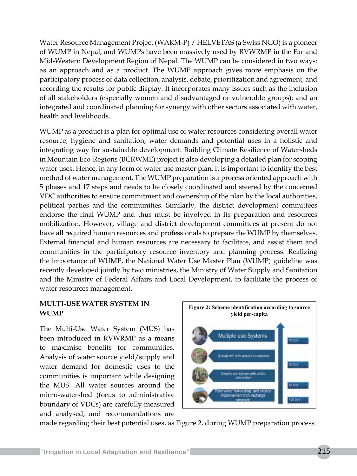Water Resource Management Project (WARM-P) / HELVETAS (a Swiss NGO) is a pioneer of WUMP in Nepal, and WUMPs have been massively used by RVWRMP in the Far and Mid-Western Development Region of Nepal. The WUMP can be considered in two ways: as an approach and as a product. The WUMP approach gives more emphasis on the participatory process of data collection, analysis, debate, prioritization and agreement, and recording the results for public display. It incorporates many issues such as the inclusion of all stakeholders (especially women and disadvantaged or vulnerable groups); and an integrated and coordinated planning for synergy with other sectors associated with water, health and livelihoods.

WUMP as a product is a plan for optimal use of water resources considering overall water resource, hygiene and sanitation, water demands and potential uses in a holistic and integrating way for sustainable development. Building Climate Resilience of Watersheds in Mountain Eco-Regions (BCRWME) project is also developing a detailed plan for scoping water uses. Hence, in any form of water use master plan, it is important to identify the best method of water management. The WUMP preparation is a process oriented approach with 5 phases and 17 steps and needs to be closely coordinated and steered by the concerned VDC authorities to ensure commitment and ownership of the plan by the local authorities, political parties and the communities. Similarly, the district development committees endorse the final WUMP and thus must be involved in its preparation and resources mobilization. However, village and district development committees at present do not have all required human resources and professionals to prepare the WUMP by themselves. External financial and human resources are necessary to facilitate, and assist them and communities in the participatory resource inventory and planning process. Realizing the importance of WUMP, the National Water Use Master Plan (WUMP) guideline was recently developed jointly by two ministries, the Ministry of Water Supply and Sanitation and the Ministry of Federal Affairs and Local Development, to facilitate the process of water resources management.

## **MULTI-USE WATER SYSTEM IN WUMP**

The Multi-Use Water System (MUS) has been introduced in RVWRMP as a means to maximise benefits for communities. Analysis of water source yield/supply and water demand for domestic uses to the communities is important while designing the MUS. All water sources around the micro-watershed (focus to administrative boundary of VDCs) are carefully measured and analysed, and recommendations are



made regarding their best potential uses, as Figure 2, during WUMP preparation process.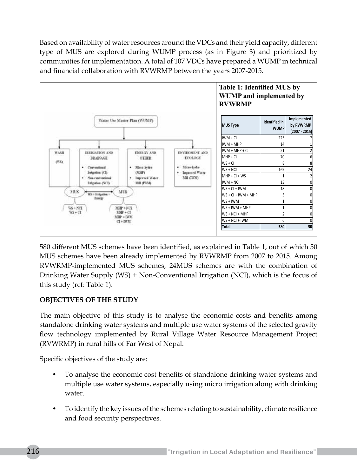Based on availability of water resources around the VDCs and their yield capacity, different type of MUS are explored during WUMP process (as in Figure 3) and prioritized by communities for implementation. A total of 107 VDCs have prepared a WUMP in technical and financial collaboration with RVWRMP between the years 2007-2015.



580 different MUS schemes have been identified, as explained in Table 1, out of which 50 MUS schemes have been already implemented by RVWRMP from 2007 to 2015. Among RVWRMP-implemented MUS schemes, 24MUS schemes are with the combination of Drinking Water Supply (WS) + Non-Conventional Irrigation (NCI), which is the focus of this study (ref: Table 1).

# **OBJECTIVES OF THE STUDY**

The main objective of this study is to analyse the economic costs and benefits among standalone drinking water systems and multiple use water systems of the selected gravity flow technology implemented by Rural Village Water Resource Management Project (RVWRMP) in rural hills of Far West of Nepal.

Specific objectives of the study are:

- To analyse the economic cost benefits of standalone drinking water systems and multiple use water systems, especially using micro irrigation along with drinking water.
- To identify the key issues of the schemes relating to sustainability, climate resilience and food security perspectives.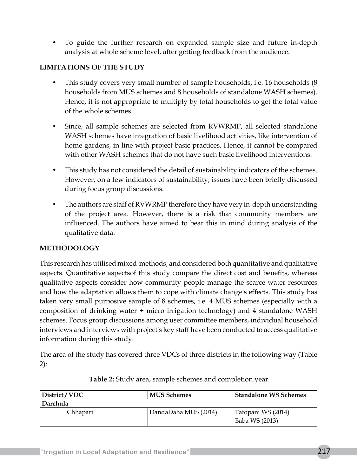• To guide the further research on expanded sample size and future in-depth analysis at whole scheme level, after getting feedback from the audience.

# **LIMITATIONS OF THE STUDY**

- This study covers very small number of sample households, i.e. 16 households (8 households from MUS schemes and 8 households of standalone WASH schemes). Hence, it is not appropriate to multiply by total households to get the total value of the whole schemes.
- Since, all sample schemes are selected from RVWRMP, all selected standalone WASH schemes have integration of basic livelihood activities, like intervention of home gardens, in line with project basic practices. Hence, it cannot be compared with other WASH schemes that do not have such basic livelihood interventions.
- This study has not considered the detail of sustainability indicators of the schemes. However, on a few indicators of sustainability, issues have been briefly discussed during focus group discussions.
- The authors are staff of RVWRMP therefore they have very in-depth understanding of the project area. However, there is a risk that community members are influenced. The authors have aimed to bear this in mind during analysis of the qualitative data.

# **METHODOLOGY**

This research has utilised mixed-methods, and considered both quantitative and qualitative aspects. Quantitative aspectsof this study compare the direct cost and benefits, whereas qualitative aspects consider how community people manage the scarce water resources and how the adaptation allows them to cope with climate change's effects. This study has taken very small purposive sample of 8 schemes, i.e. 4 MUS schemes (especially with a composition of drinking water + micro irrigation technology) and 4 standalone WASH schemes. Focus group discussions among user committee members, individual household interviews and interviews with project's key staff have been conducted to access qualitative information during this study.

The area of the study has covered three VDCs of three districts in the following way (Table 2):

| District / VDC | MUS Schemes          | <b>Standalone WS Schemes</b> |  |
|----------------|----------------------|------------------------------|--|
| Darchula       |                      |                              |  |
| Chhapari       | DandaDaha MUS (2014) | Tatopani WS (2014)           |  |
|                |                      | Baba WS (2013)               |  |

| Table 2: Study area, sample schemes and completion year |  |  |  |  |
|---------------------------------------------------------|--|--|--|--|
|---------------------------------------------------------|--|--|--|--|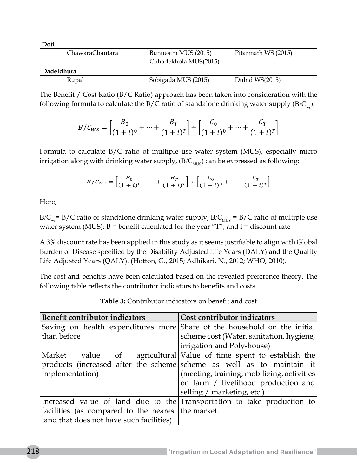| Doti            |                       |                     |  |  |  |
|-----------------|-----------------------|---------------------|--|--|--|
| ChawaraChautara | Bunnesim MUS (2015)   | Pitarmath WS (2015) |  |  |  |
|                 | Chhadekhola MUS(2015) |                     |  |  |  |
| Dadeldhura      |                       |                     |  |  |  |
| Rupal           | Sobigada MUS (2015)   | Dubid WS(2015)      |  |  |  |

The Benefit / Cost Ratio (B/C Ratio) approach has been taken into consideration with the following formula to calculate the  $B/C$  ratio of standalone drinking water supply  $(B/C_{w})$ :

$$
B/C_{WS} = \left[\frac{B_0}{(1+i)^0} + \dots + \frac{B_T}{(1+i)^T}\right] \div \left[\frac{C_0}{(1+i)^0} + \dots + \frac{C_T}{(1+i)^T}\right]
$$

Formula to calculate B/C ratio of multiple use water system (MUS), especially micro irrigation along with drinking water supply,  $(B/C<sub>MIS</sub>)$  can be expressed as following:

$$
B/C_{WS} = \left[\frac{B_0}{(1+i)^0} + \dots + \frac{B_T}{(1+i)^T}\right] \div \left[\frac{C_0}{(1+i)^0} + \dots + \frac{C_T}{(1+i)^T}\right]
$$

Here,

B/C<sub>ws</sub>= B/C ratio of standalone drinking water supply; B/C<sub>MUS</sub> = B/C ratio of multiple use water system (MUS);  $B =$  benefit calculated for the year "T", and  $i =$  discount rate

A 3% discount rate has been applied in this study as it seems justifiable to align with Global Burden of Disease specified by the Disability Adjusted Life Years (DALY) and the Quality Life Adjusted Years (QALY). (Hotton, G., 2015; Adhikari, N., 2012; WHO, 2010).

The cost and benefits have been calculated based on the revealed preference theory. The following table reflects the contributor indicators to benefits and costs.

| Benefit contributor indicators                     | Cost contributor indicators                                              |  |  |  |
|----------------------------------------------------|--------------------------------------------------------------------------|--|--|--|
|                                                    | Saving on health expenditures more Share of the household on the initial |  |  |  |
| than before                                        | scheme cost (Water, sanitation, hygiene,                                 |  |  |  |
|                                                    | irrigation and Poly-house)                                               |  |  |  |
| Market value of                                    | agricultural Value of time spent to establish the                        |  |  |  |
|                                                    | products (increased after the scheme scheme as well as to maintain it    |  |  |  |
| implementation)                                    | (meeting, training, mobilizing, activities)                              |  |  |  |
|                                                    | on farm / livelihood production and                                      |  |  |  |
|                                                    | selling / marketing, etc.)                                               |  |  |  |
|                                                    | Increased value of land due to the Transportation to take production to  |  |  |  |
| facilities (as compared to the nearest the market. |                                                                          |  |  |  |
| land that does not have such facilities)           |                                                                          |  |  |  |

**Table 3:** Contributor indicators on benefit and cost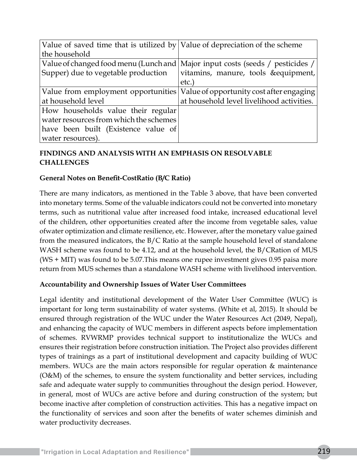| Value of saved time that is utilized by Value of depreciation of the scheme     |                                           |
|---------------------------------------------------------------------------------|-------------------------------------------|
| the household                                                                   |                                           |
| Value of changed food menu (Lunch and   Major input costs (seeds / pesticides / |                                           |
| Supper) due to vegetable production                                             | vitamins, manure, tools & equipment,      |
|                                                                                 | etc.)                                     |
| Value from employment opportunities   Value of opportunity cost after engaging  |                                           |
| at household level                                                              | at household level livelihood activities. |
| How households value their regular                                              |                                           |
| water resources from which the schemes                                          |                                           |
| have been built (Existence value of                                             |                                           |
| water resources).                                                               |                                           |

# **FINDINGS AND ANALYSIS WITH AN EMPHASIS ON RESOLVABLE CHALLENGES**

## **General Notes on Benefit-CostRatio (B/C Ratio)**

There are many indicators, as mentioned in the Table 3 above, that have been converted into monetary terms. Some of the valuable indicators could not be converted into monetary terms, such as nutritional value after increased food intake, increased educational level of the children, other opportunities created after the income from vegetable sales, value ofwater optimization and climate resilience, etc. However, after the monetary value gained from the measured indicators, the B/C Ratio at the sample household level of standalone WASH scheme was found to be 4.12, and at the household level, the B/CRation of MUS (WS + MIT) was found to be 5.07.This means one rupee investment gives 0.95 paisa more return from MUS schemes than a standalone WASH scheme with livelihood intervention.

#### **Accountability and Ownership Issues of Water User Committees**

Legal identity and institutional development of the Water User Committee (WUC) is important for long term sustainability of water systems. (White et al, 2015). It should be ensured through registration of the WUC under the Water Resources Act (2049, Nepal), and enhancing the capacity of WUC members in different aspects before implementation of schemes. RVWRMP provides technical support to institutionalize the WUCs and ensures their registration before construction initiation. The Project also provides different types of trainings as a part of institutional development and capacity building of WUC members. WUCs are the main actors responsible for regular operation & maintenance (O&M) of the schemes, to ensure the system functionality and better services, including safe and adequate water supply to communities throughout the design period. However, in general, most of WUCs are active before and during construction of the system; but become inactive after completion of construction activities. This has a negative impact on the functionality of services and soon after the benefits of water schemes diminish and water productivity decreases.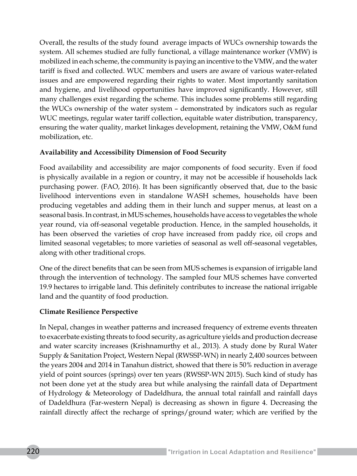Overall, the results of the study found average impacts of WUCs ownership towards the system. All schemes studied are fully functional, a village maintenance worker (VMW) is mobilized in each scheme, the community is paying an incentive to the VMW, and the water tariff is fixed and collected. WUC members and users are aware of various water-related issues and are empowered regarding their rights to water. Most importantly sanitation and hygiene, and livelihood opportunities have improved significantly. However, still many challenges exist regarding the scheme. This includes some problems still regarding the WUCs ownership of the water system – demonstrated by indicators such as regular WUC meetings, regular water tariff collection, equitable water distribution, transparency, ensuring the water quality, market linkages development, retaining the VMW, O&M fund mobilization, etc.

## **Availability and Accessibility Dimension of Food Security**

Food availability and accessibility are major components of food security. Even if food is physically available in a region or country, it may not be accessible if households lack purchasing power. (FAO, 2016). It has been significantly observed that, due to the basic livelihood interventions even in standalone WASH schemes, households have been producing vegetables and adding them in their lunch and supper menus, at least on a seasonal basis. In contrast, in MUS schemes, households have access to vegetables the whole year round, via off-seasonal vegetable production. Hence, in the sampled households, it has been observed the varieties of crop have increased from paddy rice, oil crops and limited seasonal vegetables; to more varieties of seasonal as well off-seasonal vegetables, along with other traditional crops.

One of the direct benefits that can be seen from MUS schemes is expansion of irrigable land through the intervention of technology. The sampled four MUS schemes have converted 19.9 hectares to irrigable land. This definitely contributes to increase the national irrigable land and the quantity of food production.

# **Climate Resilience Perspective**

In Nepal, changes in weather patterns and increased frequency of extreme events threaten to exacerbate existing threats to food security, as agriculture yields and production decrease and water scarcity increases (Krishnamurthy et al., 2013). A study done by Rural Water Supply & Sanitation Project, Western Nepal (RWSSP-WN) in nearly 2,400 sources between the years 2004 and 2014 in Tanahun district, showed that there is 50% reduction in average yield of point sources (springs) over ten years (RWSSP-WN 2015). Such kind of study has not been done yet at the study area but while analysing the rainfall data of Department of Hydrology & Meteorology of Dadeldhura, the annual total rainfall and rainfall days of Dadeldhura (Far-western Nepal) is decreasing as shown in figure 4. Decreasing the rainfall directly affect the recharge of springs/ground water; which are verified by the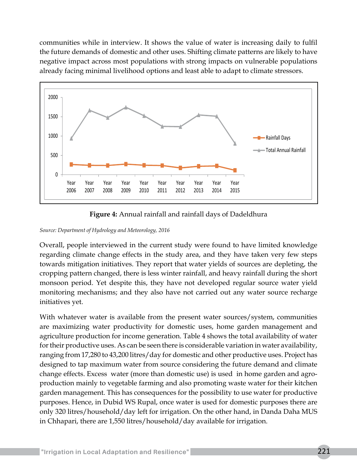communities while in interview. It shows the value of water is increasing daily to fulfil the future demands of domestic and other uses. Shifting climate patterns are likely to have negative impact across most populations with strong impacts on vulnerable populations already facing minimal livelihood options and least able to adapt to climate stressors.



**Figure 4:** Annual rainfall and rainfall days of Dadeldhura

#### *Source: Department of Hydrology and Meteorology, 2016*

Overall, people interviewed in the current study were found to have limited knowledge regarding climate change effects in the study area, and they have taken very few steps towards mitigation initiatives. They report that water yields of sources are depleting, the cropping pattern changed, there is less winter rainfall, and heavy rainfall during the short monsoon period. Yet despite this, they have not developed regular source water yield monitoring mechanisms; and they also have not carried out any water source recharge initiatives yet.

With whatever water is available from the present water sources/system, communities are maximizing water productivity for domestic uses, home garden management and agriculture production for income generation. Table 4 shows the total availability of water for their productive uses. As can be seen there is considerable variation in water availability, ranging from 17,280 to 43,200 litres/day for domestic and other productive uses. Project has designed to tap maximum water from source considering the future demand and climate change effects. Excess water (more than domestic use) is used in home garden and agroproduction mainly to vegetable farming and also promoting waste water for their kitchen garden management. This has consequences for the possibility to use water for productive purposes. Hence, in Dubid WS Rupal, once water is used for domestic purposes there are only 320 litres/household/day left for irrigation. On the other hand, in Danda Daha MUS in Chhapari, there are 1,550 litres/household/day available for irrigation.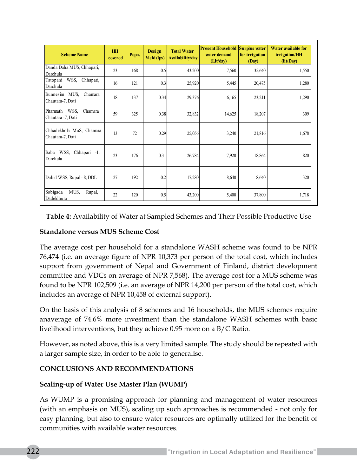| <b>Scheme Name</b>                             | <b>HH</b><br>covered | Popn. | <b>Design</b><br>Yield (lps) | <b>Total Water</b><br>Availability/day | <b>Present Household</b><br>water demand<br>(Lit/day) | <b>Surplus water</b><br>for irrigation<br>(Day) | Water available for<br>irrigation/HH<br>$\left(\frac{lit}{Day}\right)$ |
|------------------------------------------------|----------------------|-------|------------------------------|----------------------------------------|-------------------------------------------------------|-------------------------------------------------|------------------------------------------------------------------------|
| Danda Daha MUS, Chhapari,<br>Darchula          | 23                   | 168   | 0.5                          | 43,200                                 | 7,560                                                 | 35,640                                          | 1,550                                                                  |
| WSS, Chhapari,<br>Tatopani<br>Darchula         | 16                   | 121   | 0.3                          | 25,920                                 | 5,445                                                 | 20,475                                          | 1,280                                                                  |
| Bunnesim MUS, Chamara<br>Chautara-7, Doti      | 18                   | 137   | 0.34                         | 29,376                                 | 6,165                                                 | 23,211                                          | 1,290                                                                  |
| Pitarmath WSS,<br>Chamara<br>Chautara -7, Doti | 59                   | 325   | 0.38                         | 32,832                                 | 14,625                                                | 18,207                                          | 309                                                                    |
| Chhadekhola MuS, Chamara<br>Chautara-7, Doti   | 13                   | 72    | 0.29                         | 25,056                                 | 3,240                                                 | 21,816                                          | 1,678                                                                  |
| Baba WSS, Chhapari -1,<br>Darchula             | 23                   | 176   | 0.31                         | 26,784                                 | 7.920                                                 | 18,864                                          | 820                                                                    |
| Dubid WSS, Rupal - 8, DDL                      | 27                   | 192   | 0.2                          | 17,280                                 | 8.640                                                 | 8.640                                           | 320                                                                    |
| Sobigada<br>MUS,<br>Rupal,<br>Dadeldhura       | 22                   | 120   | 0.5                          | 43,200                                 | 5,400                                                 | 37,800                                          | 1,718                                                                  |

**Table 4:** Availability of Water at Sampled Schemes and Their Possible Productive Use

## **Standalone versus MUS Scheme Cost**

The average cost per household for a standalone WASH scheme was found to be NPR 76,474 (i.e. an average figure of NPR 10,373 per person of the total cost, which includes support from government of Nepal and Government of Finland, district development committee and VDCs on average of NPR 7,568). The average cost for a MUS scheme was found to be NPR 102,509 (i.e. an average of NPR 14,200 per person of the total cost, which includes an average of NPR 10,458 of external support).

On the basis of this analysis of 8 schemes and 16 households, the MUS schemes require anaverage of 74.6% more investment than the standalone WASH schemes with basic livelihood interventions, but they achieve 0.95 more on a B/C Ratio.

However, as noted above, this is a very limited sample. The study should be repeated with a larger sample size, in order to be able to generalise.

# **CONCLUSIONS AND RECOMMENDATIONS**

#### **Scaling-up of Water Use Master Plan (WUMP)**

As WUMP is a promising approach for planning and management of water resources (with an emphasis on MUS), scaling up such approaches is recommended - not only for easy planning, but also to ensure water resources are optimally utilized for the benefit of communities with available water resources.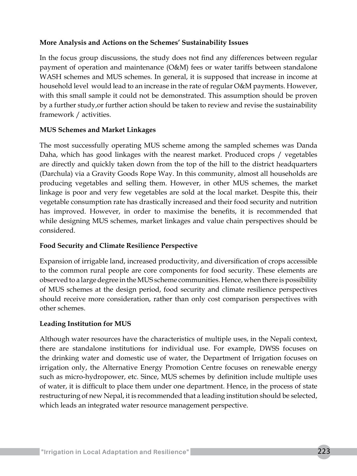## **More Analysis and Actions on the Schemes' Sustainability Issues**

In the focus group discussions, the study does not find any differences between regular payment of operation and maintenance (O&M) fees or water tariffs between standalone WASH schemes and MUS schemes. In general, it is supposed that increase in income at household level would lead to an increase in the rate of regular O&M payments. However, with this small sample it could not be demonstrated. This assumption should be proven by a further study,or further action should be taken to review and revise the sustainability framework / activities.

## **MUS Schemes and Market Linkages**

The most successfully operating MUS scheme among the sampled schemes was Danda Daha, which has good linkages with the nearest market. Produced crops / vegetables are directly and quickly taken down from the top of the hill to the district headquarters (Darchula) via a Gravity Goods Rope Way. In this community, almost all households are producing vegetables and selling them. However, in other MUS schemes, the market linkage is poor and very few vegetables are sold at the local market. Despite this, their vegetable consumption rate has drastically increased and their food security and nutrition has improved. However, in order to maximise the benefits, it is recommended that while designing MUS schemes, market linkages and value chain perspectives should be considered.

#### **Food Security and Climate Resilience Perspective**

Expansion of irrigable land, increased productivity, and diversification of crops accessible to the common rural people are core components for food security. These elements are observed to a large degree in the MUS scheme communities. Hence, when there is possibility of MUS schemes at the design period, food security and climate resilience perspectives should receive more consideration, rather than only cost comparison perspectives with other schemes.

# **Leading Institution for MUS**

Although water resources have the characteristics of multiple uses, in the Nepali context, there are standalone institutions for individual use. For example, DWSS focuses on the drinking water and domestic use of water, the Department of Irrigation focuses on irrigation only, the Alternative Energy Promotion Centre focuses on renewable energy such as micro-hydropower, etc. Since, MUS schemes by definition include multiple uses of water, it is difficult to place them under one department. Hence, in the process of state restructuring of new Nepal, it is recommended that a leading institution should be selected, which leads an integrated water resource management perspective.